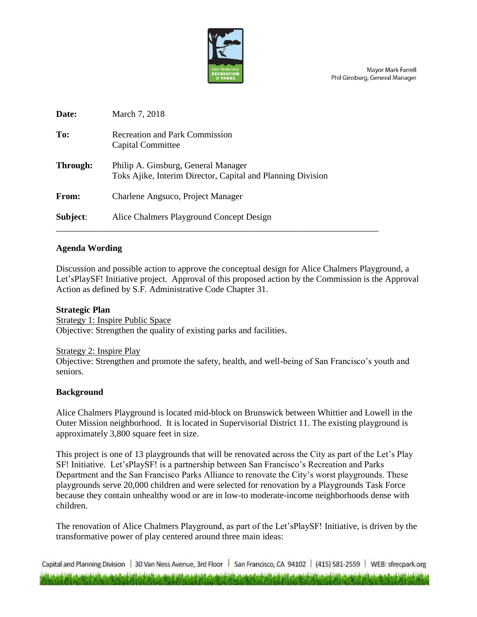

**Mayor Mark Farrell** Phil Ginsburg, General Manager

| Date:        | March 7, 2018                                                                                      |
|--------------|----------------------------------------------------------------------------------------------------|
| To:          | Recreation and Park Commission<br>Capital Committee                                                |
| Through:     | Philip A. Ginsburg, General Manager<br>Toks Ajike, Interim Director, Capital and Planning Division |
| <b>From:</b> | Charlene Angsuco, Project Manager                                                                  |
| Subject:     | Alice Chalmers Playground Concept Design                                                           |

# **Agenda Wording**

Discussion and possible action to approve the conceptual design for Alice Chalmers Playground, a Let'sPlaySF! Initiative project. Approval of this proposed action by the Commission is the Approval Action as defined by S.F. Administrative Code Chapter 31.

#### **Strategic Plan**

Strategy 1: Inspire Public Space Objective: Strengthen the quality of existing parks and facilities.

Strategy 2: Inspire Play

Objective: Strengthen and promote the safety, health, and well-being of San Francisco's youth and seniors.

#### **Background**

Alice Chalmers Playground is located mid-block on Brunswick between Whittier and Lowell in the Outer Mission neighborhood. It is located in Supervisorial District 11. The existing playground is approximately 3,800 square feet in size.

This project is one of 13 playgrounds that will be renovated across the City as part of the Let's Play SF! Initiative. Let'sPlaySF! is a partnership between San Francisco's Recreation and Parks Department and the San Francisco Parks Alliance to renovate the City's worst playgrounds. These playgrounds serve 20,000 children and were selected for renovation by a Playgrounds Task Force because they contain unhealthy wood or are in low-to moderate-income neighborhoods dense with children.

The renovation of Alice Chalmers Playground, as part of the Let'sPlaySF! Initiative, is driven by the transformative power of play centered around three main ideas:

Capital and Planning Division | 30 Van Ness Avenue, 3rd Floor | San Francisco, CA 94102 | (415) 581-2559 | WEB: sfrecpark.org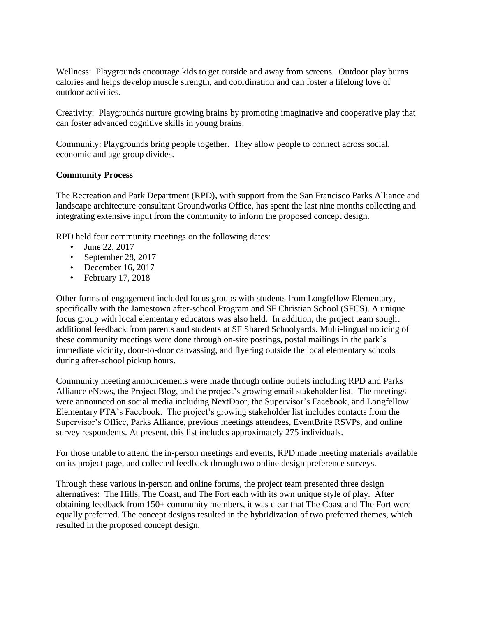Wellness: Playgrounds encourage kids to get outside and away from screens. Outdoor play burns calories and helps develop muscle strength, and coordination and can foster a lifelong love of outdoor activities.

Creativity: Playgrounds nurture growing brains by promoting imaginative and cooperative play that can foster advanced cognitive skills in young brains.

Community: Playgrounds bring people together. They allow people to connect across social, economic and age group divides.

## **Community Process**

The Recreation and Park Department (RPD), with support from the San Francisco Parks Alliance and landscape architecture consultant Groundworks Office, has spent the last nine months collecting and integrating extensive input from the community to inform the proposed concept design.

RPD held four community meetings on the following dates:

- June 22, 2017
- September 28, 2017
- December 16, 2017
- February 17, 2018

Other forms of engagement included focus groups with students from Longfellow Elementary, specifically with the Jamestown after-school Program and SF Christian School (SFCS). A unique focus group with local elementary educators was also held. In addition, the project team sought additional feedback from parents and students at SF Shared Schoolyards. Multi-lingual noticing of these community meetings were done through on-site postings, postal mailings in the park's immediate vicinity, door-to-door canvassing, and flyering outside the local elementary schools during after-school pickup hours.

Community meeting announcements were made through online outlets including RPD and Parks Alliance eNews, the Project Blog, and the project's growing email stakeholder list. The meetings were announced on social media including NextDoor, the Supervisor's Facebook, and Longfellow Elementary PTA's Facebook. The project's growing stakeholder list includes contacts from the Supervisor's Office, Parks Alliance, previous meetings attendees, EventBrite RSVPs, and online survey respondents. At present, this list includes approximately 275 individuals.

For those unable to attend the in-person meetings and events, RPD made meeting materials available on its project page, and collected feedback through two online design preference surveys.

Through these various in-person and online forums, the project team presented three design alternatives: The Hills, The Coast, and The Fort each with its own unique style of play. After obtaining feedback from 150+ community members, it was clear that The Coast and The Fort were equally preferred. The concept designs resulted in the hybridization of two preferred themes, which resulted in the proposed concept design.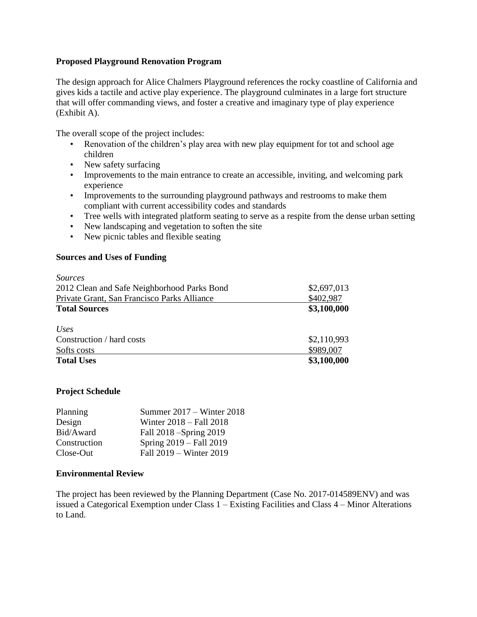## **Proposed Playground Renovation Program**

The design approach for Alice Chalmers Playground references the rocky coastline of California and gives kids a tactile and active play experience. The playground culminates in a large fort structure that will offer commanding views, and foster a creative and imaginary type of play experience (Exhibit A).

The overall scope of the project includes:

- Renovation of the children's play area with new play equipment for tot and school age children
- New safety surfacing
- Improvements to the main entrance to create an accessible, inviting, and welcoming park experience
- Improvements to the surrounding playground pathways and restrooms to make them compliant with current accessibility codes and standards
- Tree wells with integrated platform seating to serve as a respite from the dense urban setting
- New landscaping and vegetation to soften the site
- New picnic tables and flexible seating

## **Sources and Uses of Funding**

| Sources                                     |             |
|---------------------------------------------|-------------|
| 2012 Clean and Safe Neighborhood Parks Bond | \$2,697,013 |
| Private Grant, San Francisco Parks Alliance | \$402,987   |
| <b>Total Sources</b>                        | \$3,100,000 |
|                                             |             |
| <i>Uses</i>                                 |             |
| Construction / hard costs                   | \$2,110,993 |
| Softs costs                                 | \$989,007   |
| <b>Total Uses</b>                           | \$3,100,000 |

#### **Project Schedule**

| <b>Planning</b> | Summer 2017 – Winter 2018 |
|-----------------|---------------------------|
| Design          | Winter 2018 – Fall 2018   |
| Bid/Award       | Fall 2018 - Spring 2019   |
| Construction    | Spring 2019 – Fall 2019   |
| Close-Out       | Fall 2019 – Winter 2019   |

#### **Environmental Review**

The project has been reviewed by the Planning Department (Case No. 2017-014589ENV) and was issued a Categorical Exemption under Class 1 – Existing Facilities and Class 4 – Minor Alterations to Land.